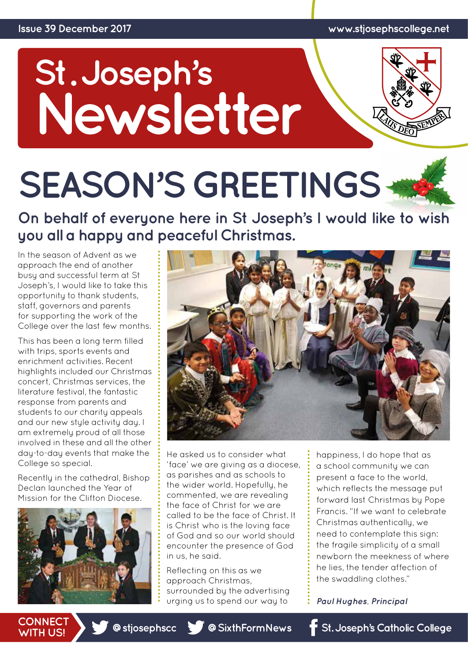# St.Joseph's<br>Newsletter



# **SEASON'S GREETINGS**

**On behalf of everyone here in St Joseph's I would like to wish you all a happy and peaceful Christmas.** 

In the season of Advent as we approach the end of another busy and successful term at St Joseph's, I would like to take this opportunity to thank students, staff, governors and parents for supporting the work of the College over the last few months.

This has been a long term filled with trips, sports events and enrichment activities. Recent highlights included our Christmas concert, Christmas services, the literature festival, the fantastic response from parents and students to our charity appeals and our new style activity day. I am extremely proud of all those involved in these and all the other day-to-day events that make the College so special.

Recently in the cathedral, Bishop Declan launched the Year of Mission for the Clifton Diocese.





He asked us to consider what 'face' we are giving as a diocese, as parishes and as schools to the wider world. Hopefully, he commented, we are revealing the face of Christ for we are called to be the face of Christ. It is Christ who is the loving face of God and so our world should encounter the presence of God in us, he said.

Reflecting on this as we approach Christmas, surrounded by the advertising urging us to spend our way to

happiness, I do hope that as a school community we can present a face to the world, which reflects the message put forward last Christmas by Pope Francis. "If we want to celebrate Christmas authentically, we need to contemplate this sign: the fragile simplicity of a small newborn the meekness of where he lies, the tender affection of the swaddling clothes."

*Paul Hughes, Principal*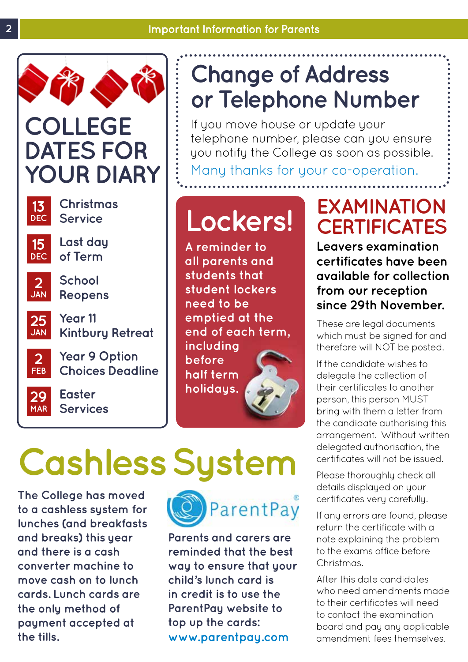

### **COLLEGE DATES FOR YOUR DIARY**



**Christmas Service**



**Last day of Term**



**School Reopens**

**Year 11 Kintbury Retreat 25 JAN**



**Year 9 Option Choices Deadline**



**Easter Services** 

### **Change of Address or Telephone Number**

If you move house or update your telephone number, please can you ensure you notify the College as soon as possible.

Many thanks for your co-operation.

### **Lockers!**

**A reminder to all parents and students that student lockers need to be emptied at the end of each term, including before half term holidays.**

### **EXAMINATION CERTIFICATES**

**Leavers examination certificates have been available for collection from our reception since 29th November.** 

These are legal documents which must be signed for and therefore will NOT be posted.

If the candidate wishes to delegate the collection of their certificates to another person, this person MUST bring with them a letter from the candidate authorising this arrangement. Without written delegated authorisation, the certificates will not be issued.

Please thoroughly check all details displayed on your certificates very carefully.

If any errors are found, please return the certificate with a note explaining the problem to the exams office before Christmas.

After this date candidates who need amendments made to their certificates will need to contact the examination board and pay any applicable amendment fees themselves.

# **Cashless System**

**The College has moved to a cashless system for lunches (and breakfasts and breaks) this year and there is a cash converter machine to move cash on to lunch cards. Lunch cards are the only method of payment accepted at the tills.**



**Parents and carers are reminded that the best way to ensure that your child's lunch card is in credit is to use the ParentPay website to top up the cards: www.parentpay.com**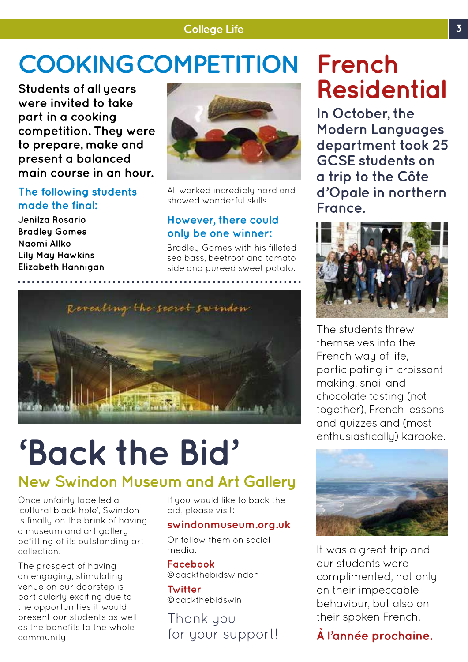#### **College Life 3**

### **COOKING COMPETITION French**

**Students of all years were invited to take part in a cooking competition. They were to prepare, make and present a balanced main course in an hour.** 

#### **The following students made the final:**

**Jenilza Rosario Bradley Gomes Naomi Allko Lily May Hawkins Elizabeth Hannigan**



All worked incredibly hard and showed wonderful skills.

#### **However, there could only be one winner:**

Bradley Gomes with his filleted sea bass, beetroot and tomato side and pureed sweet potato.



## **'Back the Bid'**

#### **New Swindon Museum and Art Gallery**

Once unfairly labelled a 'cultural black hole', Swindon is finally on the brink of having a museum and art gallery befitting of its outstanding art collection.

The prospect of having an engaging, stimulating venue on our doorstep is particularly exciting due to the opportunities it would present our students as well as the benefits to the whole community.

If you would like to back the bid, please visit:

#### **swindonmuseum.org.uk**

Or follow them on social media.

**Facebook** @backthebidswindon

**Twitter** @backthebidswin

Thank you for your support!

# **Residential**

**In October, the Modern Languages department took 25 GCSE students on a trip to the Côte d'Opale in northern France.** 



The students threw themselves into the French way of life, participating in croissant making, snail and chocolate tasting (not together), French lessons and quizzes and (most enthusiastically) karaoke.



It was a great trip and our students were complimented, not only on their impeccable behaviour, but also on their spoken French.

#### **À l'année prochaine.**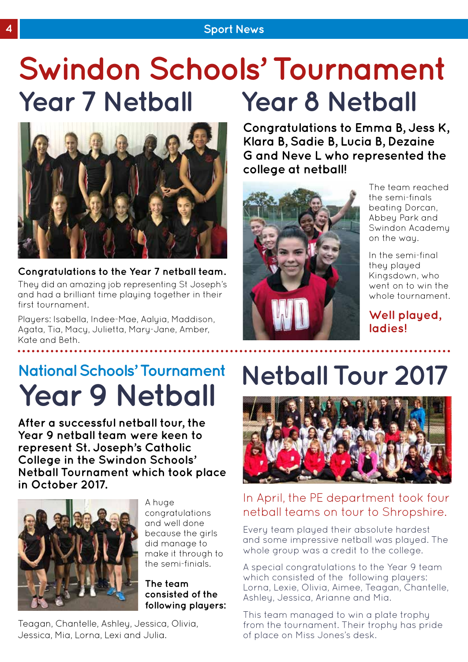#### **4 Sport News**

### **Year 7 Netball Swindon Schools' Tournament Year 8 Netball**



**Congratulations to the Year 7 netball team.** 

They did an amazing job representing St Joseph's and had a brilliant time playing together in their first tournament.

Players: Isabella, Indee-Mae, Aalyia, Maddison, Agata, Tia, Macy, Julietta, Mary-Jane, Amber, Kate and Beth.

**Congratulations to Emma B, Jess K, Klara B, Sadie B, Lucia B, Dezaine G and Neve L who represented the college at netball!**



The team reached the semi-finals beating Dorcan, Abbey Park and Swindon Academy on the way.

In the semi-final they played Kingsdown, who went on to win the whole tournament.

**Well played, ladies!**

### **National Schools' Tournament Year 9 Netball**

**After a successful netball tour, the Year 9 netball team were keen to represent St. Joseph's Catholic College in the Swindon Schools' Netball Tournament which took place in October 2017.** 



A huge congratulations and well done because the girls did manage to make it through to the semi-finials.

#### **The team consisted of the following players:**

Teagan, Chantelle, Ashley, Jessica, Olivia, Jessica, Mia, Lorna, Lexi and Julia.

### **Netball Tour 2017**



#### In April, the PE department took four netball teams on tour to Shropshire.

Every team played their absolute hardest and some impressive netball was played. The whole group was a credit to the college.

A special congratulations to the Year 9 team which consisted of the following players: Lorna, Lexie, Olivia, Aimee, Teagan, Chantelle, Ashley, Jessica, Arianne and Mia.

This team managed to win a plate trophy from the tournament. Their trophy has pride of place on Miss Jones's desk.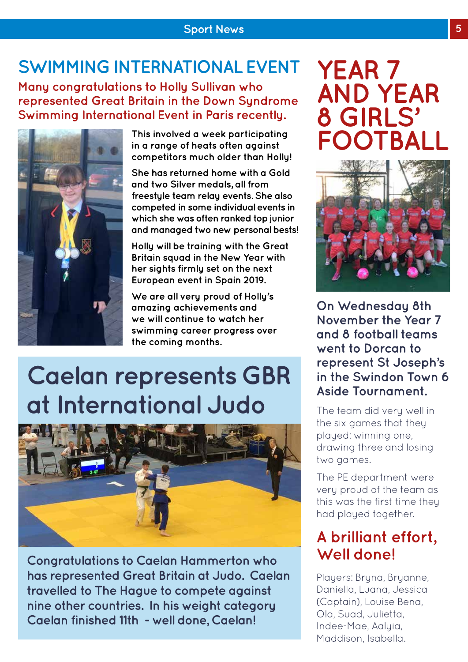### **SWIMMING INTERNATIONAL EVENT YEAR 7**

**Many congratulations to Holly Sullivan who represented Great Britain in the Down Syndrome Swimming International Event in Paris recently.**



**This involved a week participating in a range of heats often against competitors much older than Holly!** 

**She has returned home with a Gold and two Silver medals, all from freestyle team relay events. She also competed in some individual events in which she was often ranked top junior and managed two new personal bests!**

**Holly will be training with the Great Britain squad in the New Year with her sights firmly set on the next European event in Spain 2019.** 

**We are all very proud of Holly's amazing achievements and we will continue to watch her swimming career progress over the coming months.**

### **Caelan represents GBR at International Judo**



**Congratulations to Caelan Hammerton who has represented Great Britain at Judo. Caelan travelled to The Hague to compete against nine other countries. In his weight category Caelan finished 11th - well done, Caelan!**

### **AND YEAR 8 GIRLS' FOOTBALL**



**On Wednesday 8th November the Year 7 and 8 football teams went to Dorcan to represent St Joseph's in the Swindon Town 6 Aside Tournament.** 

The team did very well in the six games that they played: winning one, drawing three and losing two games.

The PE department were very proud of the team as this was the first time they had played together.

#### **A brilliant effort, Well done!**

Players: Bryna, Bryanne, Daniella, Luana, Jessica (Captain), Louise Bena, Ola, Suad, Julietta, Indee-Mae, Aalyia, Maddison, Isabella.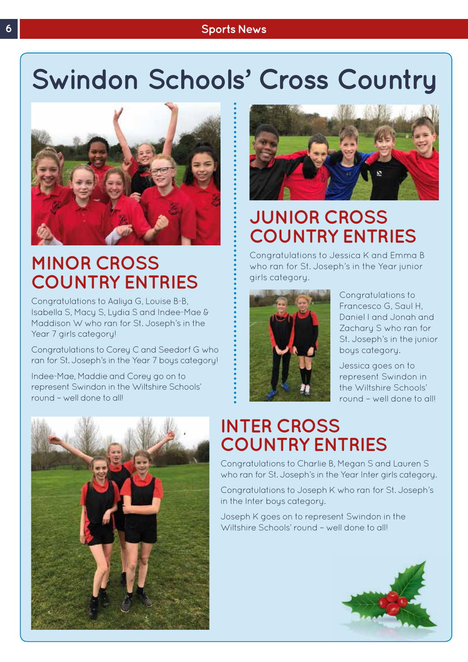#### **6 Sports News**

### **Swindon Schools' Cross Country**



#### **MINOR CROSS COUNTRY ENTRIES**

Congratulations to Aaliya G, Louise B-B, Isabella S, Macy S, Lydia S and Indee-Mae & Maddison W who ran for St. Joseph's in the Year 7 girls category!

Congratulations to Corey C and Seedorf G who ran for St. Joseph's in the Year 7 boys category!

Indee-Mae, Maddie and Corey go on to represent Swindon in the Wiltshire Schools' round – well done to all!





#### **JUNIOR CROSS COUNTRY ENTRIES**

Congratulations to Jessica K and Emma B who ran for St. Joseph's in the Year junior girls category.



Congratulations to Francesco G, Saul H, Daniel I and Jonah and Zachary S who ran for St. Joseph's in the junior boys category.

Jessica goes on to represent Swindon in the Wiltshire Schools' round – well done to all!

### **INTER CROSS COUNTRY ENTRIES**

Congratulations to Charlie B, Megan S and Lauren S who ran for St. Joseph's in the Year Inter girls category.

Congratulations to Joseph K who ran for St. Joseph's in the Inter boys category.

Joseph K goes on to represent Swindon in the Wiltshire Schools' round – well done to all!

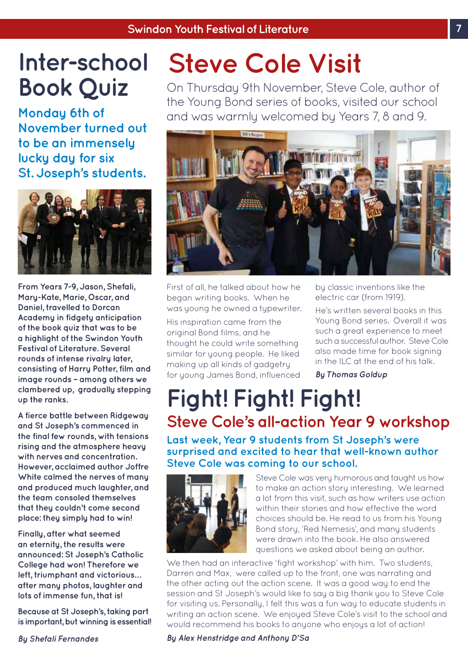### **Inter-school Book Quiz**

**Monday 6th of November turned out to be an immensely lucky day for six St. Joseph's students.**



**From Years 7-9, Jason, Shefali, Mary-Kate, Marie, Oscar, and Daniel, travelled to Dorcan Academy in fidgety anticipation of the book quiz that was to be a highlight of the Swindon Youth Festival of Literature. Several rounds of intense rivalry later, consisting of Harry Potter, film and image rounds – among others we clambered up, gradually stepping up the ranks.** 

**A fierce battle between Ridgeway and St Joseph's commenced in the final few rounds, with tensions rising and the atmosphere heavy with nerves and concentration. However, acclaimed author Joffre White calmed the nerves of many and produced much laughter, and the team consoled themselves that they couldn't come second place: they simply had to win!** 

**Finally, after what seemed an eternity, the results were announced: St Joseph's Catholic College had won! Therefore we left, triumphant and victorious… after many photos, laughter and lots of immense fun, that is!** 

**Because at St Joseph's, taking part is important, but winning is essential!**

### **Steve Cole Visit**

On Thursday 9th November, Steve Cole, author of the Young Bond series of books, visited our school and was warmly welcomed by Years 7, 8 and 9.



First of all, he talked about how he began writing books. When he was young he owned a typewriter.

His inspiration came from the original Bond films, and he thought he could write something similar for young people. He liked making up all kinds of gadgetry for young James Bond, influenced by classic inventions like the electric car (from 1919).

He's written several books in this Young Bond series. Overall it was such a great experience to meet such a successful author. Steve Cole also made time for book signing in the ILC at the end of his talk.

*By Thomas Goldup* 

### **Fight! Fight! Fight! Steve Cole's all-action Year 9 workshop**

**Last week, Year 9 students from St Joseph's were surprised and excited to hear that well-known author Steve Cole was coming to our school.** 



Steve Cole was very humorous and taught us how to make an action story interesting. We learned a lot from this visit, such as how writers use action within their stories and how effective the word choices should be. He read to us from his Young Bond story, 'Red Nemesis', and many students were drawn into the book. He also answered questions we asked about being an author.

We then had an interactive 'fight workshop' with him. Two students, Darren and Max, were called up to the front, one was narrating and the other acting out the action scene. It was a good way to end the session and St Joseph's would like to say a big thank you to Steve Cole for visiting us. Personally, I felt this was a fun way to educate students in writing an action scene. We enjoyed Steve Cole's visit to the school and would recommend his books to anyone who enjoys a lot of action!

*By Shefali Fernandes*

*By Alex Henstridge and Anthony D'Sa*